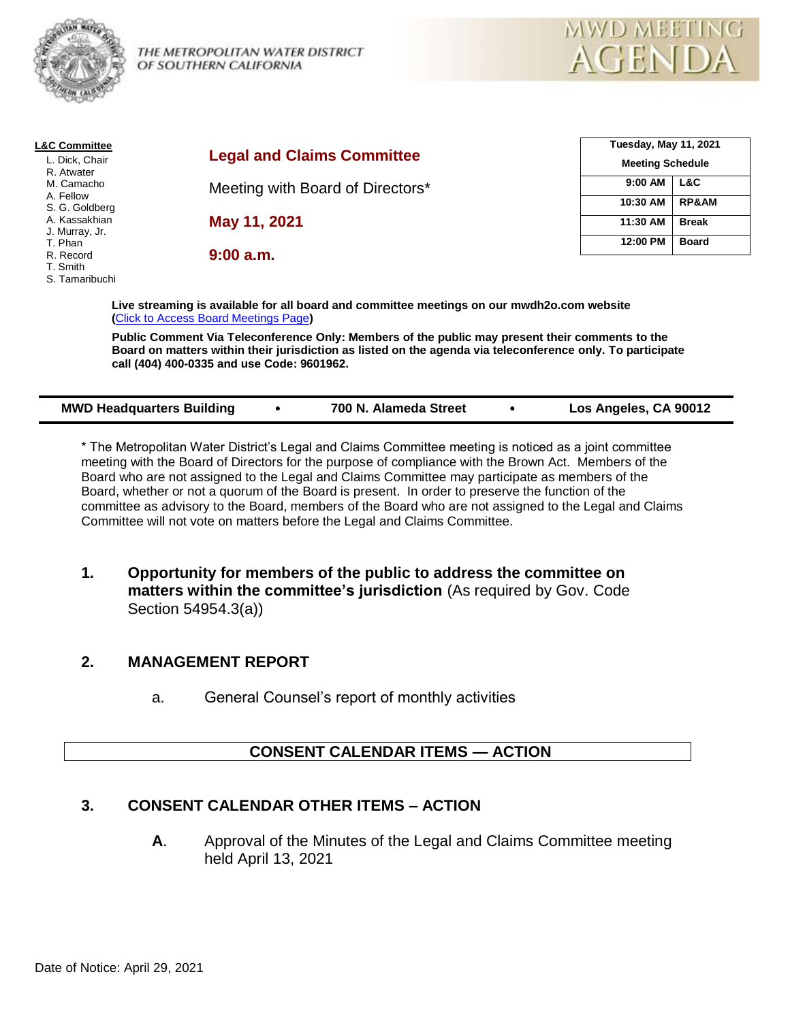

THE METROPOLITAN WATER DISTRICT OF SOUTHERN CALIFORNIA



| <b>L&amp;C Committee</b> |                                                                                             | <b>Tuesday, May 11, 2021</b> |  |
|--------------------------|---------------------------------------------------------------------------------------------|------------------------------|--|
| L. Dick, Chair           | <b>Legal and Claims Committee</b>                                                           | <b>Meeting Schedule</b>      |  |
| R. Atwater               |                                                                                             |                              |  |
| M. Camacho               | Meeting with Board of Directors*                                                            | $9:00$ AM<br>L&C             |  |
| A. Fellow                |                                                                                             | <b>RP&amp;AM</b><br>10:30 AM |  |
| S. G. Goldberg           |                                                                                             |                              |  |
| A. Kassakhian            | May 11, 2021                                                                                | 11:30 AM<br><b>Break</b>     |  |
| J. Murray, Jr.           |                                                                                             |                              |  |
| T. Phan                  |                                                                                             | 12:00 PM<br><b>Board</b>     |  |
| R. Record                | 9:00 a.m.                                                                                   |                              |  |
| T. Smith                 |                                                                                             |                              |  |
| S. Tamaribuchi           |                                                                                             |                              |  |
|                          |                                                                                             |                              |  |
|                          | Live strooming is available for all board and committee meetings on our muudh?e som website |                              |  |

**Live streaming is available for all board and committee meetings on our mwdh2o.com website (**[Click to Access Board Meetings Page](http://www.mwdh2o.com/WhoWeAre/Board/Board-Meeting/Pages/default.aspx)**)**

**Public Comment Via Teleconference Only: Members of the public may present their comments to the Board on matters within their jurisdiction as listed on the agenda via teleconference only. To participate call (404) 400-0335 and use Code: 9601962.**

| <b>MWD Headquarters Building</b> |  | 700 N. Alameda Street |  | Los Angeles, CA 90012 |
|----------------------------------|--|-----------------------|--|-----------------------|
|----------------------------------|--|-----------------------|--|-----------------------|

\* The Metropolitan Water District's Legal and Claims Committee meeting is noticed as a joint committee meeting with the Board of Directors for the purpose of compliance with the Brown Act. Members of the Board who are not assigned to the Legal and Claims Committee may participate as members of the Board, whether or not a quorum of the Board is present. In order to preserve the function of the committee as advisory to the Board, members of the Board who are not assigned to the Legal and Claims Committee will not vote on matters before the Legal and Claims Committee.

**1. Opportunity for members of the public to address the committee on matters within the committee's jurisdiction** (As required by Gov. Code Section 54954.3(a))

# **2. MANAGEMENT REPORT**

a. General Counsel's report of monthly activities

# **CONSENT CALENDAR ITEMS — ACTION**

# **3. CONSENT CALENDAR OTHER ITEMS – ACTION**

**A**. Approval of the Minutes of the Legal and Claims Committee meeting held April 13, 2021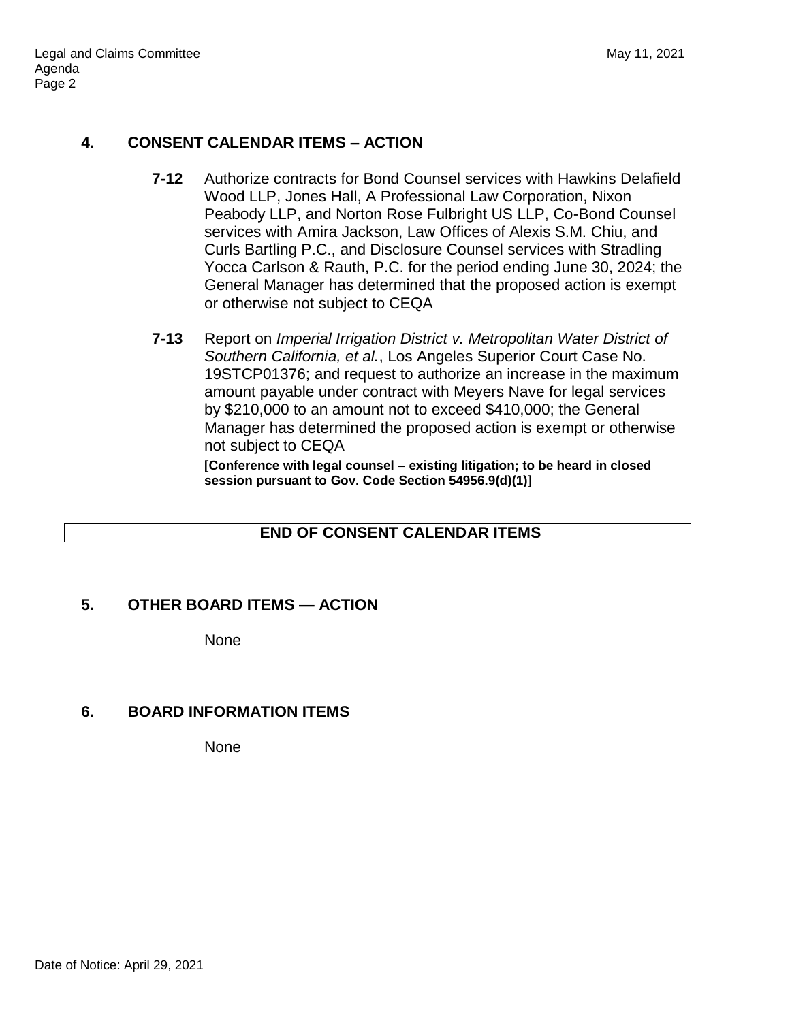# **4. CONSENT CALENDAR ITEMS – ACTION**

- **7-12** Authorize contracts for Bond Counsel services with Hawkins Delafield Wood LLP, Jones Hall, A Professional Law Corporation, Nixon Peabody LLP, and Norton Rose Fulbright US LLP, Co-Bond Counsel services with Amira Jackson, Law Offices of Alexis S.M. Chiu, and Curls Bartling P.C., and Disclosure Counsel services with Stradling Yocca Carlson & Rauth, P.C. for the period ending June 30, 2024; the General Manager has determined that the proposed action is exempt or otherwise not subject to CEQA
- **7-13** Report on *Imperial Irrigation District v. Metropolitan Water District of Southern California, et al.*, Los Angeles Superior Court Case No. 19STCP01376; and request to authorize an increase in the maximum amount payable under contract with Meyers Nave for legal services by \$210,000 to an amount not to exceed \$410,000; the General Manager has determined the proposed action is exempt or otherwise not subject to CEQA

**[Conference with legal counsel – existing litigation; to be heard in closed session pursuant to Gov. Code Section 54956.9(d)(1)]**

# **END OF CONSENT CALENDAR ITEMS**

#### **5. OTHER BOARD ITEMS — ACTION**

None

# **6. BOARD INFORMATION ITEMS**

None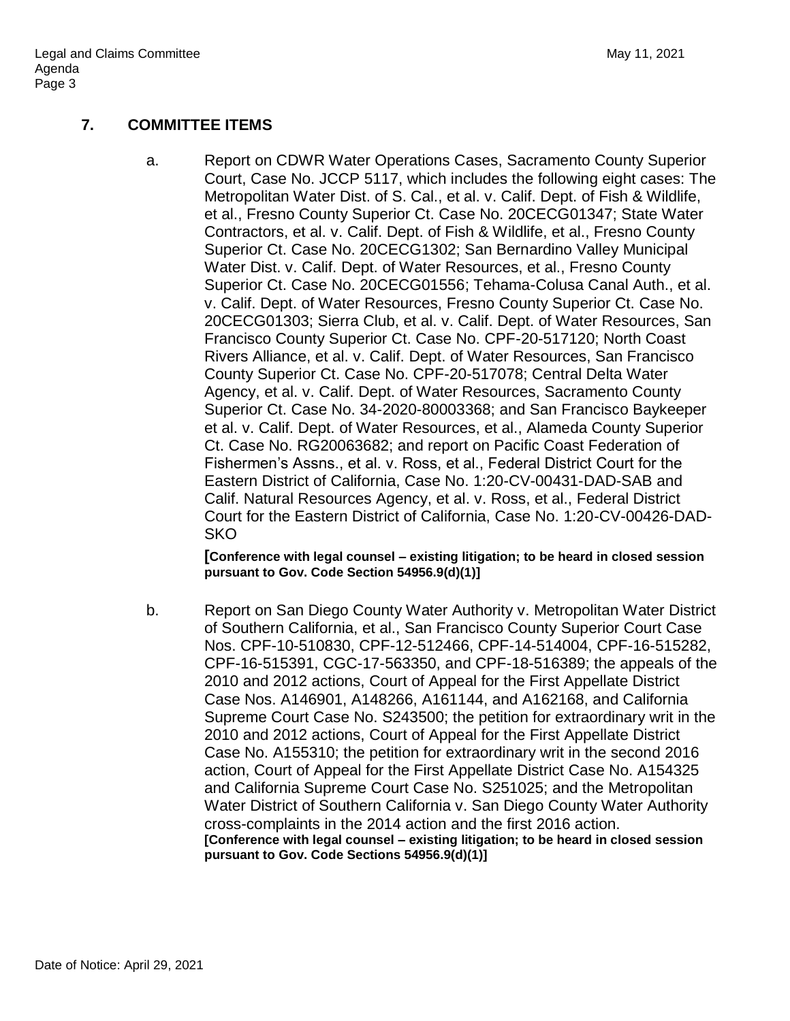#### **7. COMMITTEE ITEMS**

a. Report on CDWR Water Operations Cases, Sacramento County Superior Court, Case No. JCCP 5117, which includes the following eight cases: The Metropolitan Water Dist. of S. Cal., et al. v. Calif. Dept. of Fish & Wildlife, et al., Fresno County Superior Ct. Case No. 20CECG01347; State Water Contractors, et al. v. Calif. Dept. of Fish & Wildlife, et al., Fresno County Superior Ct. Case No. 20CECG1302; San Bernardino Valley Municipal Water Dist. v. Calif. Dept. of Water Resources, et al., Fresno County Superior Ct. Case No. 20CECG01556; Tehama-Colusa Canal Auth., et al. v. Calif. Dept. of Water Resources, Fresno County Superior Ct. Case No. 20CECG01303; Sierra Club, et al. v. Calif. Dept. of Water Resources, San Francisco County Superior Ct. Case No. CPF-20-517120; North Coast Rivers Alliance, et al. v. Calif. Dept. of Water Resources, San Francisco County Superior Ct. Case No. CPF-20-517078; Central Delta Water Agency, et al. v. Calif. Dept. of Water Resources, Sacramento County Superior Ct. Case No. 34-2020-80003368; and San Francisco Baykeeper et al. v. Calif. Dept. of Water Resources, et al., Alameda County Superior Ct. Case No. RG20063682; and report on Pacific Coast Federation of Fishermen's Assns., et al. v. Ross, et al., Federal District Court for the Eastern District of California, Case No. 1:20-CV-00431-DAD-SAB and Calif. Natural Resources Agency, et al. v. Ross, et al., Federal District Court for the Eastern District of California, Case No. 1:20-CV-00426-DAD-**SKO** 

**[Conference with legal counsel – existing litigation; to be heard in closed session pursuant to Gov. Code Section 54956.9(d)(1)]**

b. Report on San Diego County Water Authority v. Metropolitan Water District of Southern California, et al., San Francisco County Superior Court Case Nos. CPF-10-510830, CPF-12-512466, CPF-14-514004, CPF-16-515282, CPF-16-515391, CGC-17-563350, and CPF-18-516389; the appeals of the 2010 and 2012 actions, Court of Appeal for the First Appellate District Case Nos. A146901, A148266, A161144, and A162168, and California Supreme Court Case No. S243500; the petition for extraordinary writ in the 2010 and 2012 actions, Court of Appeal for the First Appellate District Case No. A155310; the petition for extraordinary writ in the second 2016 action, Court of Appeal for the First Appellate District Case No. A154325 and California Supreme Court Case No. S251025; and the Metropolitan Water District of Southern California v. San Diego County Water Authority cross-complaints in the 2014 action and the first 2016 action. **[Conference with legal counsel – existing litigation; to be heard in closed session pursuant to Gov. Code Sections 54956.9(d)(1)]**